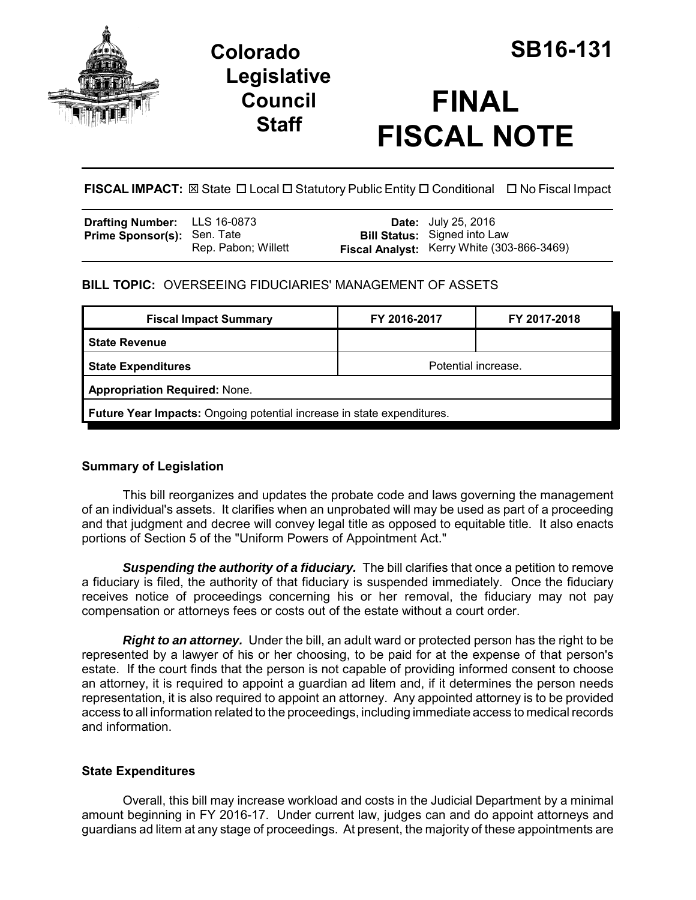

# **Colorado SB16-131 Legislative Council Staff**

# **FINAL FISCAL NOTE**

**FISCAL IMPACT:** ⊠ State □ Local □ Statutory Public Entity □ Conditional □ No Fiscal Impact

| <b>Drafting Number:</b> LLS 16-0873 |                     | <b>Date:</b> July 25, 2016                 |
|-------------------------------------|---------------------|--------------------------------------------|
| <b>Prime Sponsor(s): Sen. Tate</b>  |                     | <b>Bill Status:</b> Signed into Law        |
|                                     | Rep. Pabon; Willett | Fiscal Analyst: Kerry White (303-866-3469) |

#### **BILL TOPIC:** OVERSEEING FIDUCIARIES' MANAGEMENT OF ASSETS

| <b>Fiscal Impact Summary</b>                                                  | FY 2016-2017        | FY 2017-2018 |  |  |  |
|-------------------------------------------------------------------------------|---------------------|--------------|--|--|--|
| <b>State Revenue</b>                                                          |                     |              |  |  |  |
| <b>State Expenditures</b>                                                     | Potential increase. |              |  |  |  |
| <b>Appropriation Required: None.</b>                                          |                     |              |  |  |  |
| <b>Future Year Impacts:</b> Ongoing potential increase in state expenditures. |                     |              |  |  |  |

## **Summary of Legislation**

This bill reorganizes and updates the probate code and laws governing the management of an individual's assets. It clarifies when an unprobated will may be used as part of a proceeding and that judgment and decree will convey legal title as opposed to equitable title. It also enacts portions of Section 5 of the "Uniform Powers of Appointment Act."

**Suspending the authority of a fiduciary.** The bill clarifies that once a petition to remove a fiduciary is filed, the authority of that fiduciary is suspended immediately. Once the fiduciary receives notice of proceedings concerning his or her removal, the fiduciary may not pay compensation or attorneys fees or costs out of the estate without a court order.

*Right to an attorney.* Under the bill, an adult ward or protected person has the right to be represented by a lawyer of his or her choosing, to be paid for at the expense of that person's estate. If the court finds that the person is not capable of providing informed consent to choose an attorney, it is required to appoint a guardian ad litem and, if it determines the person needs representation, it is also required to appoint an attorney. Any appointed attorney is to be provided access to all information related to the proceedings, including immediate access to medical records and information.

## **State Expenditures**

Overall, this bill may increase workload and costs in the Judicial Department by a minimal amount beginning in FY 2016-17. Under current law, judges can and do appoint attorneys and guardians ad litem at any stage of proceedings. At present, the majority of these appointments are